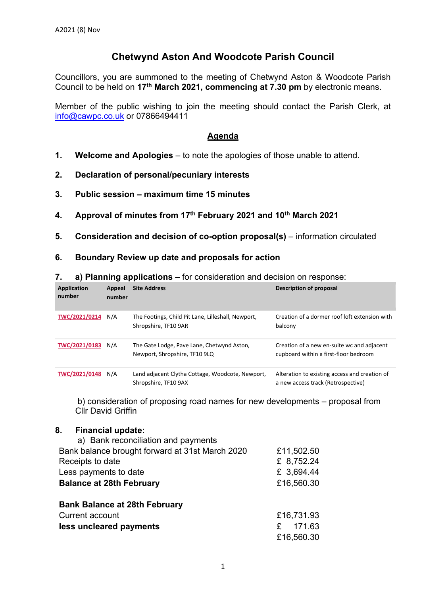# **Chetwynd Aston And Woodcote Parish Council**

Councillors, you are summoned to the meeting of Chetwynd Aston & Woodcote Parish Council to be held on **17th March 2021, commencing at 7.30 pm** by electronic means.

Member of the public wishing to join the meeting should contact the Parish Clerk, at info@cawpc.co.uk or 07866494411

# **Agenda**

- **1. Welcome and Apologies** to note the apologies of those unable to attend.
- **2. Declaration of personal/pecuniary interests**
- **3. Public session maximum time 15 minutes**
- **4. Approval of minutes from 17th February 2021 and 10th March 2021**
- **5.** Consideration and decision of co-option proposal(s) information circulated

#### **6. Boundary Review up date and proposals for action**

|  |  | a) Planning applications – for consideration and decision on response: |  |  |  |  |
|--|--|------------------------------------------------------------------------|--|--|--|--|
|--|--|------------------------------------------------------------------------|--|--|--|--|

| <b>Application</b><br>number | Appeal<br>number | <b>Site Address</b>                                                         | Description of proposal                                                             |
|------------------------------|------------------|-----------------------------------------------------------------------------|-------------------------------------------------------------------------------------|
| TWC/2021/0214                | N/A              | The Footings, Child Pit Lane, Lilleshall, Newport,<br>Shropshire, TF10 9AR  | Creation of a dormer roof loft extension with<br>balcony                            |
| TWC/2021/0183                | N/A              | The Gate Lodge, Pave Lane, Chetwynd Aston,<br>Newport, Shropshire, TF10 9LQ | Creation of a new en-suite wc and adjacent<br>cupboard within a first-floor bedroom |
| TWC/2021/0148                | N/A              | Land adjacent Clytha Cottage, Woodcote, Newport,<br>Shropshire, TF10 9AX    | Alteration to existing access and creation of<br>a new access track (Retrospective) |

 b) consideration of proposing road names for new developments – proposal from Cllr David Griffin

#### **8. Financial update:**

| a) Bank reconciliation and payments             |            |
|-------------------------------------------------|------------|
| Bank balance brought forward at 31st March 2020 | £11,502.50 |
| Receipts to date                                | £ 8,752.24 |
| Less payments to date                           | £ 3,694.44 |
| <b>Balance at 28th February</b>                 | £16,560.30 |
| <b>Bank Balance at 28th February</b>            |            |
| Current account                                 | £16,731.93 |
| less uncleared payments                         | 171.63     |
|                                                 | £16,560.30 |